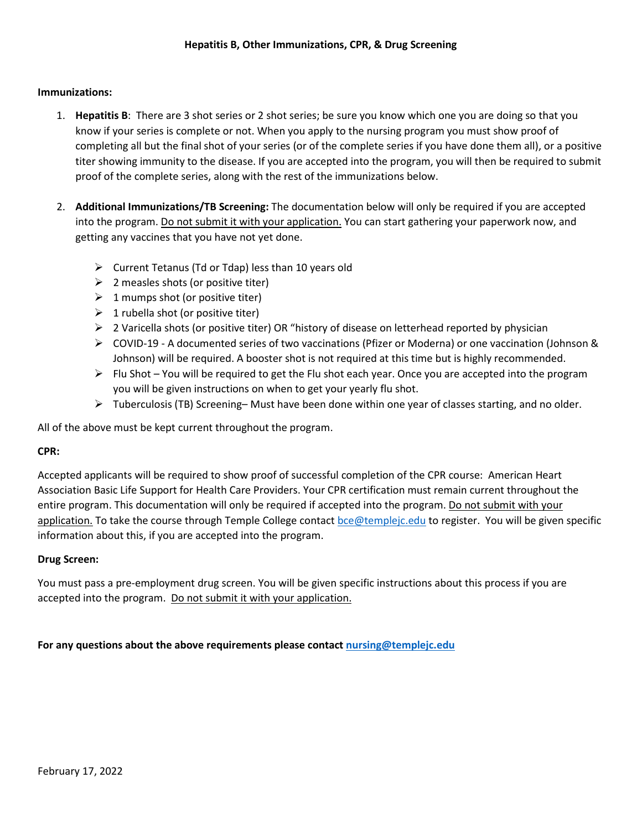## **Immunizations:**

- 1. **Hepatitis B**: There are 3 shot series or 2 shot series; be sure you know which one you are doing so that you know if your series is complete or not. When you apply to the nursing program you must show proof of completing all but the final shot of your series (or of the complete series if you have done them all), or a positive titer showing immunity to the disease. If you are accepted into the program, you will then be required to submit proof of the complete series, along with the rest of the immunizations below.
- 2. **Additional Immunizations/TB Screening:** The documentation below will only be required if you are accepted into the program. Do not submit it with your application. You can start gathering your paperwork now, and getting any vaccines that you have not yet done.
	- $\triangleright$  Current Tetanus (Td or Tdap) less than 10 years old
	- $\geq$  2 measles shots (or positive titer)
	- $\geq 1$  mumps shot (or positive titer)
	- $\geq 1$  rubella shot (or positive titer)
	- $\triangleright$  2 Varicella shots (or positive titer) OR "history of disease on letterhead reported by physician
	- COVID-19 A documented series of two vaccinations (Pfizer or Moderna) or one vaccination (Johnson & Johnson) will be required. A booster shot is not required at this time but is highly recommended.
	- $\triangleright$  Flu Shot You will be required to get the Flu shot each year. Once you are accepted into the program you will be given instructions on when to get your yearly flu shot.
	- $\triangleright$  Tuberculosis (TB) Screening– Must have been done within one year of classes starting, and no older.

All of the above must be kept current throughout the program.

## **CPR:**

Accepted applicants will be required to show proof of successful completion of the CPR course: American Heart Association Basic Life Support for Health Care Providers. Your CPR certification must remain current throughout the entire program. This documentation will only be required if accepted into the program. Do not submit with your application. To take the course through Temple College contac[t bce@templejc.edu](mailto:bce@templejc.edu) to register. You will be given specific information about this, if you are accepted into the program.

## **Drug Screen:**

You must pass a pre-employment drug screen. You will be given specific instructions about this process if you are accepted into the program. Do not submit it with your application.

**For any questions about the above requirements please contact [nursing@templejc.edu](mailto:nursing@templejc.edu)**